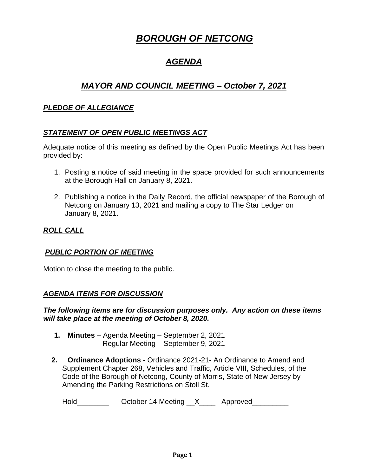# *BOROUGH OF NETCONG*

## *AGENDA*

## *MAYOR AND COUNCIL MEETING – October 7, 2021*

## *PLEDGE OF ALLEGIANCE*

## *STATEMENT OF OPEN PUBLIC MEETINGS ACT*

Adequate notice of this meeting as defined by the Open Public Meetings Act has been provided by:

- 1. Posting a notice of said meeting in the space provided for such announcements at the Borough Hall on January 8, 2021.
- 2. Publishing a notice in the Daily Record, the official newspaper of the Borough of Netcong on January 13, 2021 and mailing a copy to The Star Ledger on January 8, 2021.

## *ROLL CALL*

## *PUBLIC PORTION OF MEETING*

Motion to close the meeting to the public.

## *AGENDA ITEMS FOR DISCUSSION*

#### *The following items are for discussion purposes only. Any action on these items will take place at the meeting of October 8, 2020.*

- **1. Minutes** Agenda Meeting September 2, 2021 Regular Meeting – September 9, 2021
- **2. Ordinance Adoptions** Ordinance 2021-21**-** An Ordinance to Amend and Supplement Chapter 268, Vehicles and Traffic, Article VIII, Schedules, of the Code of the Borough of Netcong, County of Morris, State of New Jersey by Amending the Parking Restrictions on Stoll St.

| Hold | October 14 Meeting __> |  | Approved |
|------|------------------------|--|----------|
|------|------------------------|--|----------|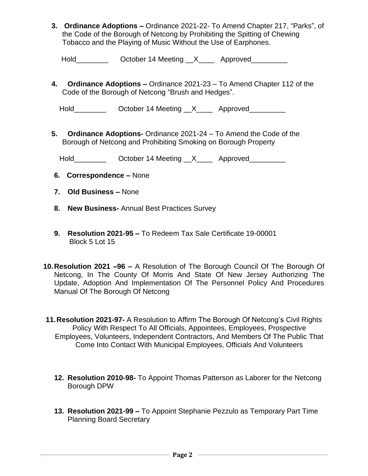**3. Ordinance Adoptions –** Ordinance 2021-22- To Amend Chapter 217, "Parks", of the Code of the Borough of Netcong by Prohibiting the Spitting of Chewing Tobacco and the Playing of Music Without the Use of Earphones.

| Hold | October 14 Meeting |  | Approved |
|------|--------------------|--|----------|
|------|--------------------|--|----------|

**4. Ordinance Adoptions –** Ordinance 2021-23 – To Amend Chapter 112 of the Code of the Borough of Netcong "Brush and Hedges".

Hold\_\_\_\_\_\_\_\_\_\_\_\_ October 14 Meeting \_\_X\_\_\_\_\_ Approved\_\_\_\_\_\_\_\_\_

**5. Ordinance Adoptions-** Ordinance 2021-24 – To Amend the Code of the Borough of Netcong and Prohibiting Smoking on Borough Property

Hold\_\_\_\_\_\_\_\_\_\_\_\_ October 14 Meeting \_\_X\_\_\_\_\_ Approved\_\_\_\_\_\_\_\_\_

- **6. Correspondence –** None
- **7. Old Business –** None
- **8. New Business-** Annual Best Practices Survey
- **9. Resolution 2021-95 –** To Redeem Tax Sale Certificate 19-00001 Block 5 Lot 15
- **10.Resolution 2021 –96 –** A Resolution of The Borough Council Of The Borough Of Netcong, In The County Of Morris And State Of New Jersey Authorizing The Update, Adoption And Implementation Of The Personnel Policy And Procedures Manual Of The Borough Of Netcong

**11.Resolution 2021-97-** A Resolution to Affirm The Borough Of Netcong's Civil Rights Policy With Respect To All Officials, Appointees, Employees, Prospective Employees, Volunteers, Independent Contractors, And Members Of The Public That Come Into Contact With Municipal Employees, Officials And Volunteers

- **12. Resolution 2010-98-** To Appoint Thomas Patterson as Laborer for the Netcong Borough DPW
- **13. Resolution 2021-99 –** To Appoint Stephanie Pezzulo as Temporary Part Time Planning Board Secretary